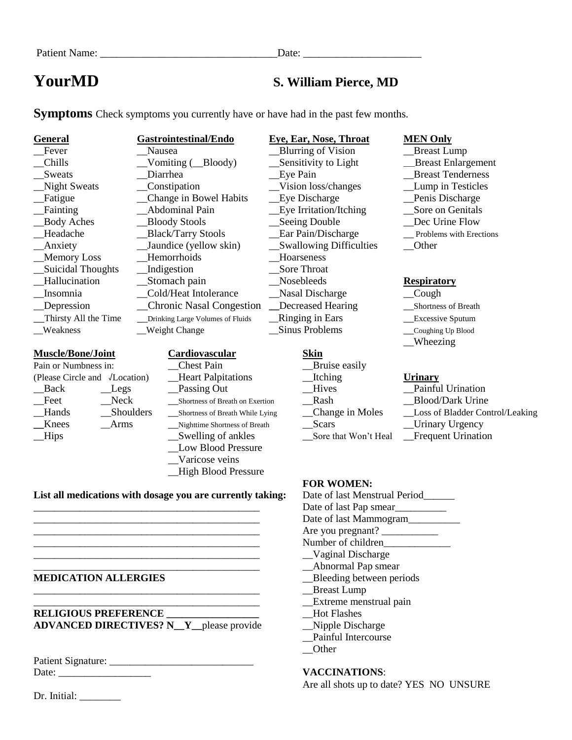# **YourMD S. William Pierce, MD**

**Symptoms** Check symptoms you currently have or have had in the past few months.

| <b>General</b>       | <b>Gastrointestinal/Endo</b>     |
|----------------------|----------------------------------|
| Fever                | Nausea                           |
| Chills               | Vomiting (Bloody)                |
| Sweats               | Diarrhea                         |
| <b>Night Sweats</b>  | Constipation                     |
| Fatigue              | Change in Bowel Habits           |
| Fainting             | Abdominal Pain                   |
| <b>Body Aches</b>    | <b>Bloody Stools</b>             |
| Headache             | <b>Black/Tarry Stools</b>        |
| Anxiety              | Jaundice (yellow skin)           |
| <b>Memory Loss</b>   | Hemorrhoids                      |
| Suicidal Thoughts    | Indigestion                      |
| Hallucination        | Stomach pain                     |
| Insomnia             | Cold/Heat Intolerance            |
| Depression           | <b>Chronic Nasal Congestion</b>  |
| Thirsty All the Time | Drinking Large Volumes of Fluids |
| Weakness             | <b>Weight Change</b>             |

## **Muscle/Bone/Joint Cardiovascular Skin**

| Pain or Numbness in:                  |           |  |
|---------------------------------------|-----------|--|
| (Please Circle and <i>J</i> Location) |           |  |
| Back                                  | Legs      |  |
| Feet                                  | Neck      |  |
| Hands                                 | Shoulders |  |
| Knees                                 | Arms      |  |
| Hips                                  |           |  |
|                                       |           |  |

- $\_V$ ision loss/changes \_\_Seeing Double
- Chest Pain **Departume Chest Pain Lease Except Chest Pain** (Please Circle and √Location) \_\_Heart Palpitations \_\_Itching **Urinary** \_\_Back \_\_Legs \_\_Passing Out \_\_Hives \_\_Painful Urination \_\_Feet \_\_Neck \_\_Shortness of Breath on Exertion \_\_Rash \_\_Blood/Dark Urine \_\_Hands \_\_Shoulders \_\_Shortness of Breath While Lying \_\_Change in Moles \_\_Loss of Bladder Control/Leaking **\_\_Nighttime Shortness of Breath** Swelling of ankles Sore that Won't Heal Frequent Urination Low Blood Pressure \_\_Varicose veins \_\_High Blood Pressure

# Ear Pain/Discharge Problems with Erections \_\_Anxiety \_\_Jaundice (yellow skin) \_\_Swallowing Difficulties \_\_Other \_\_Memory Loss \_\_Hemorrhoids \_\_Hoarseness \_Sore Throat \_\_Hallucination \_\_Stomach pain \_\_Nosebleeds **Respiratory** \_\_Insomnia \_\_Cold/Heat Intolerance \_\_Nasal Discharge \_\_Cough \_\_Depression \_\_Chronic Nasal Congestion **\_\_**Decreased Hearing \_\_Shortness of Breath Ringing in Ears **Excessive Sputum** Sinus Problems Coughing Up Blood

# **Generally Eye, Ear, Nose, Throat MEN Only**

**Example 2** Lump **Example 2** Lump **Example 2** Lump \_\_Chills \_\_Vomiting (\_\_Bloody) \_\_Sensitivity to Light \_\_\_Breast Enlargement \_\_Sweats \_\_Diarrhea \_\_Eye Pain \_\_Breast Tenderness Leye Discharge **in Bowel Habits Leye Discharge** Lewis Discharge Like Irritation/Itching Like Sore on Genitals<br>Seeing Double Dec Urine Flow

- 
- 
- 
- 
- Wheezing

- 
- 
- 
- 
- 

# **List all medications with dosage you are currently taking:** Date of last Menstrual Period

# **MEDICATION ALLERGIES** \_\_Bleeding between periods

**RELIGIOUS PREFERENCE Let us a lot Flashes Hot Flashes ADVANCED DIRECTIVES? N\_\_Y\_\_**please provide \_\_Nipple Discharge

Patient Signature: \_\_\_\_\_\_\_\_\_\_\_\_\_\_\_\_\_\_\_\_\_\_\_\_\_\_\_\_

Dr. Initial:

### **FOR WOMEN:**

Date of last Pap smear Date of last Mammogram\_\_\_\_\_\_\_\_\_ \_\_\_\_\_\_\_\_\_\_\_\_\_\_\_\_\_\_\_\_\_\_\_\_\_\_\_\_\_\_\_\_\_\_\_\_\_\_\_\_\_\_\_\_ Are you pregnant? \_\_\_\_\_\_\_\_\_\_\_ Number of children \_\_\_\_\_\_\_\_\_\_\_\_\_\_\_\_\_\_\_\_\_\_\_\_\_\_\_\_\_\_\_\_\_\_\_\_\_\_\_\_\_\_\_\_ \_\_Vaginal Discharge \_\_\_\_\_\_\_\_\_\_\_\_\_\_\_\_\_\_\_\_\_\_\_\_\_\_\_\_\_\_\_\_\_\_\_\_\_\_\_\_\_\_\_\_ \_\_Abnormal Pap smear \_\_\_\_\_\_\_\_\_\_\_\_\_\_\_\_\_\_\_\_\_\_\_\_\_\_\_\_\_\_\_\_\_\_\_\_\_\_\_\_\_\_\_\_ \_\_Breast Lump \_\_\_\_\_\_\_\_\_\_\_\_\_\_\_\_\_\_\_\_\_\_\_\_\_\_\_\_\_\_\_\_\_\_\_\_\_\_\_\_\_\_\_\_ \_\_Extreme menstrual pain \_\_Painful Intercourse \_\_Other

## Date: \_\_\_\_\_\_\_\_\_\_\_\_\_\_\_\_\_\_ **VACCINATIONS**:

Are all shots up to date? YES NO UNSURE